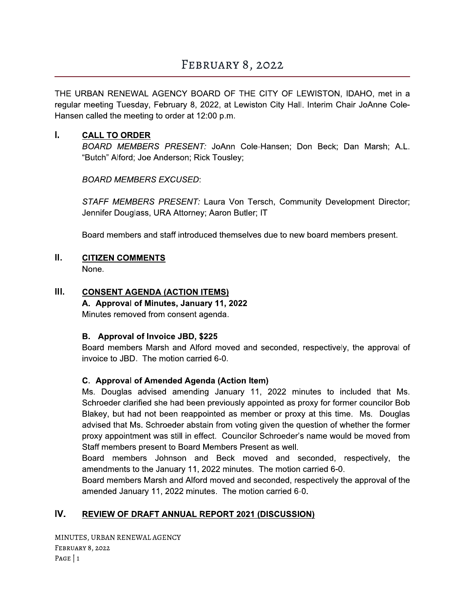# FEBRUARY 8, 2022

THE URBAN RENEWAL AGENCY BOARD OF THE CITY OF LEWISTON, IDAHO, met in a regular meeting Tuesday, February 8, 2022, at Lewiston City Hall. Interim Chair JoAnne Cole-Hansen called the meeting to order at 12:00 p.m.

#### L. **CALL TO ORDER**

BOARD MEMBERS PRESENT: JoAnn Cole-Hansen; Don Beck; Dan Marsh; A.L. "Butch" Alford; Joe Anderson; Rick Tousley;

**BOARD MEMBERS EXCUSED:** 

STAFF MEMBERS PRESENT: Laura Von Tersch, Community Development Director; Jennifer Douglass, URA Attorney; Aaron Butler; IT

Board members and staff introduced themselves due to new board members present.

#### Ш. **CITIZEN COMMENTS**

None.

#### Ш. **CONSENT AGENDA (ACTION ITEMS)**

A. Approval of Minutes, January 11, 2022

Minutes removed from consent agenda.

### B. Approval of Invoice JBD, \$225

Board members Marsh and Alford moved and seconded, respectively, the approval of invoice to JBD. The motion carried 6-0.

### C. Approval of Amended Agenda (Action Item)

Ms. Douglas advised amending January 11, 2022 minutes to included that Ms. Schroeder clarified she had been previously appointed as proxy for former councilor Bob Blakey, but had not been reappointed as member or proxy at this time. Ms. Douglas advised that Ms. Schroeder abstain from voting given the question of whether the former proxy appointment was still in effect. Councilor Schroeder's name would be moved from Staff members present to Board Members Present as well.

Board members Johnson and Beck moved and seconded, respectively, the amendments to the January 11, 2022 minutes. The motion carried 6-0.

Board members Marsh and Alford moved and seconded, respectively the approval of the amended January 11, 2022 minutes. The motion carried 6-0.

#### IV. **REVIEW OF DRAFT ANNUAL REPORT 2021 (DISCUSSION)**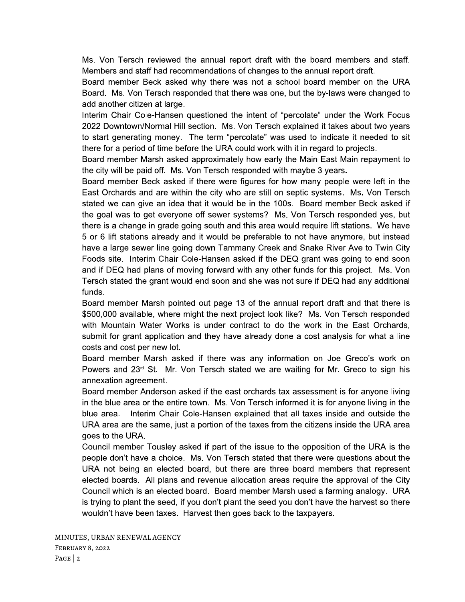Ms. Von Tersch reviewed the annual report draft with the board members and staff. Members and staff had recommendations of changes to the annual report draft.

Board member Beck asked why there was not a school board member on the URA Board. Ms. Von Tersch responded that there was one, but the by-laws were changed to add another citizen at large.

Interim Chair Cole-Hansen questioned the intent of "percolate" under the Work Focus 2022 Downtown/Normal Hill section. Ms. Von Tersch explained it takes about two years to start generating money. The term "percolate" was used to indicate it needed to sit there for a period of time before the URA could work with it in regard to projects.

Board member Marsh asked approximately how early the Main East Main repayment to the city will be paid off. Ms. Von Tersch responded with maybe 3 years.

Board member Beck asked if there were figures for how many people were left in the East Orchards and are within the city who are still on septic systems. Ms. Von Tersch stated we can give an idea that it would be in the 100s. Board member Beck asked if the goal was to get everyone off sewer systems? Ms. Von Tersch responded yes, but there is a change in grade going south and this area would require lift stations. We have 5 or 6 lift stations already and it would be preferable to not have anymore, but instead have a large sewer line going down Tammany Creek and Snake River Ave to Twin City Foods site. Interim Chair Cole-Hansen asked if the DEQ grant was going to end soon and if DEQ had plans of moving forward with any other funds for this project. Ms. Von Tersch stated the grant would end soon and she was not sure if DEQ had any additional funds.

Board member Marsh pointed out page 13 of the annual report draft and that there is \$500,000 available, where might the next project look like? Ms. Von Tersch responded with Mountain Water Works is under contract to do the work in the East Orchards, submit for grant application and they have already done a cost analysis for what a line costs and cost per new lot.

Board member Marsh asked if there was any information on Joe Greco's work on Powers and  $23<sup>rd</sup>$  St. Mr. Von Tersch stated we are waiting for Mr. Greco to sign his annexation agreement.

Board member Anderson asked if the east orchards tax assessment is for anyone living in the blue area or the entire town. Ms. Von Tersch informed it is for anyone living in the Interim Chair Cole-Hansen explained that all taxes inside and outside the blue area. URA area are the same, just a portion of the taxes from the citizens inside the URA area goes to the URA.

Council member Tousley asked if part of the issue to the opposition of the URA is the people don't have a choice. Ms. Von Tersch stated that there were questions about the URA not being an elected board, but there are three board members that represent elected boards. All plans and revenue allocation areas require the approval of the City Council which is an elected board. Board member Marsh used a farming analogy. URA is trying to plant the seed, if you don't plant the seed you don't have the harvest so there wouldn't have been taxes. Harvest then goes back to the taxpayers.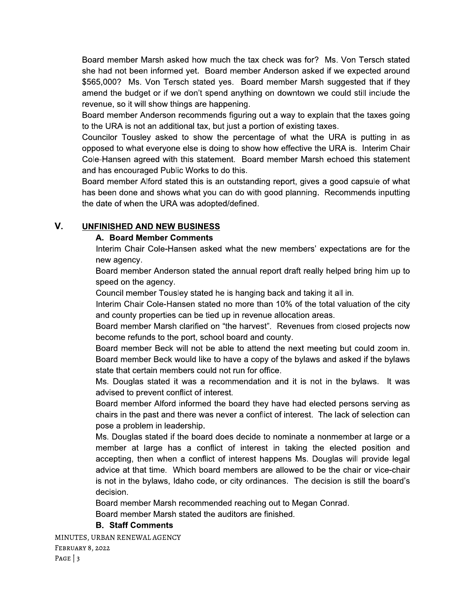Board member Marsh asked how much the tax check was for? Ms. Von Tersch stated she had not been informed yet. Board member Anderson asked if we expected around \$565,000? Ms. Von Tersch stated yes. Board member Marsh suggested that if they amend the budget or if we don't spend anything on downtown we could still include the revenue, so it will show things are happening.

Board member Anderson recommends figuring out a way to explain that the taxes going to the URA is not an additional tax, but just a portion of existing taxes.

Councilor Tousley asked to show the percentage of what the URA is putting in as opposed to what everyone else is doing to show how effective the URA is. Interim Chair Cole-Hansen agreed with this statement. Board member Marsh echoed this statement and has encouraged Public Works to do this.

Board member Alford stated this is an outstanding report, gives a good capsule of what has been done and shows what you can do with good planning. Recommends inputting the date of when the URA was adopted/defined.

#### V. **UNFINISHED AND NEW BUSINESS**

### A. Board Member Comments

Interim Chair Cole-Hansen asked what the new members' expectations are for the new agency.

Board member Anderson stated the annual report draft really helped bring him up to speed on the agency.

Council member Tousley stated he is hanging back and taking it all in.

Interim Chair Cole-Hansen stated no more than 10% of the total valuation of the city and county properties can be tied up in revenue allocation areas.

Board member Marsh clarified on "the harvest". Revenues from closed projects now become refunds to the port, school board and county.

Board member Beck will not be able to attend the next meeting but could zoom in. Board member Beck would like to have a copy of the bylaws and asked if the bylaws state that certain members could not run for office.

Ms. Douglas stated it was a recommendation and it is not in the bylaws. It was advised to prevent conflict of interest.

Board member Alford informed the board they have had elected persons serving as chairs in the past and there was never a conflict of interest. The lack of selection can pose a problem in leadership.

Ms. Douglas stated if the board does decide to nominate a nonmember at large or a member at large has a conflict of interest in taking the elected position and accepting, then when a conflict of interest happens Ms. Douglas will provide legal advice at that time. Which board members are allowed to be the chair or vice-chair is not in the bylaws, Idaho code, or city ordinances. The decision is still the board's decision.

Board member Marsh recommended reaching out to Megan Conrad.

Board member Marsh stated the auditors are finished.

## **B. Staff Comments**